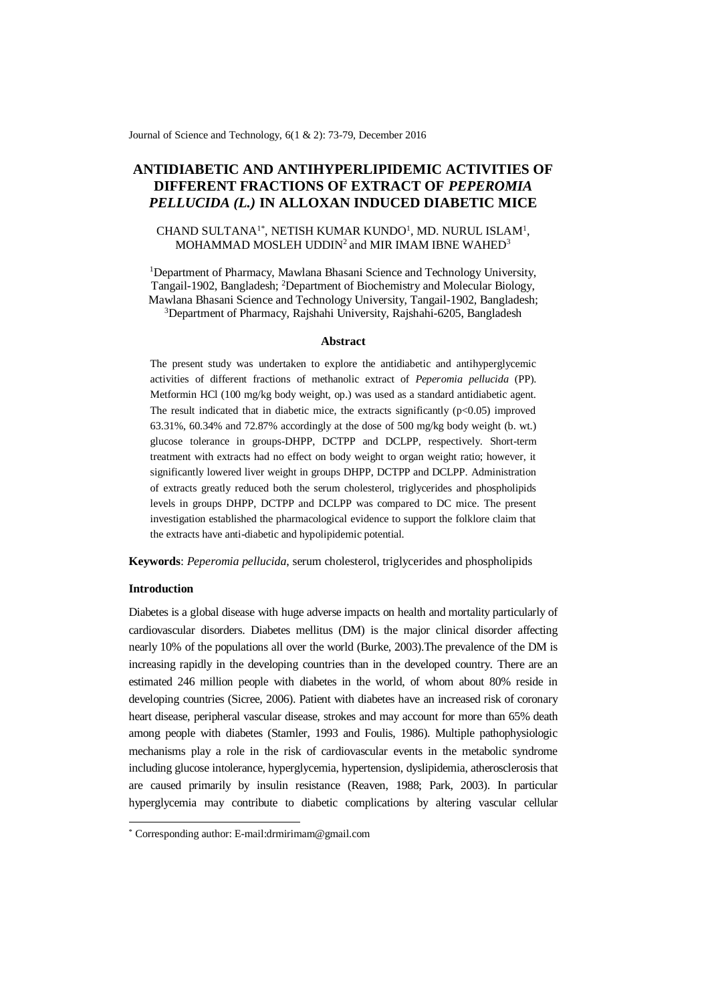Journal of Science and Technology, 6(1 & 2): 73-79, December 2016

# **ANTIDIABETIC AND ANTIHYPERLIPIDEMIC ACTIVITIES OF DIFFERENT FRACTIONS OF EXTRACT OF** *PEPEROMIA PELLUCIDA (L.)* **IN ALLOXAN INDUCED DIABETIC MICE**

# CHAND SULTANA<sup>1\*</sup>, NETISH KUMAR KUNDO<sup>1</sup>, MD. NURUL ISLAM<sup>1</sup>, MOHAMMAD MOSLEH UDDIN $^2$  and MIR IMAM IBNE WAHED $^3$

<sup>1</sup>Department of Pharmacy, Mawlana Bhasani Science and Technology University, Tangail-1902, Bangladesh; <sup>2</sup>Department of Biochemistry and Molecular Biology, Mawlana Bhasani Science and Technology University, Tangail-1902, Bangladesh; <sup>3</sup>Department of Pharmacy, Rajshahi University, Rajshahi-6205, Bangladesh

#### **Abstract**

The present study was undertaken to explore the antidiabetic and antihyperglycemic activities of different fractions of methanolic extract of *Peperomia pellucida* (PP). Metformin HCl (100 mg/kg body weight, op.) was used as a standard antidiabetic agent. The result indicated that in diabetic mice, the extracts significantly  $(p<0.05)$  improved 63.31%, 60.34% and 72.87% accordingly at the dose of 500 mg/kg body weight (b. wt.) glucose tolerance in groups-DHPP, DCTPP and DCLPP, respectively. Short-term treatment with extracts had no effect on body weight to organ weight ratio; however, it significantly lowered liver weight in groups DHPP, DCTPP and DCLPP. Administration of extracts greatly reduced both the serum cholesterol, triglycerides and phospholipids levels in groups DHPP, DCTPP and DCLPP was compared to DC mice. The present investigation established the pharmacological evidence to support the folklore claim that the extracts have anti-diabetic and hypolipidemic potential.

**Keywords**: *Peperomia pellucida*, serum cholesterol, triglycerides and phospholipids

### **Introduction**

-

Diabetes is a global disease with huge adverse impacts on health and mortality particularly of cardiovascular disorders. Diabetes mellitus (DM) is the major clinical disorder affecting nearly 10% of the populations all over the world (Burke, 2003).The prevalence of the DM is increasing rapidly in the developing countries than in the developed country. There are an estimated 246 million people with diabetes in the world, of whom about 80% reside in developing countries (Sicree, 2006). Patient with diabetes have an increased risk of coronary heart disease, peripheral vascular disease, strokes and may account for more than 65% death among people with diabetes (Stamler, 1993 and Foulis, 1986). Multiple pathophysiologic mechanisms play a role in the risk of cardiovascular events in the metabolic syndrome including glucose intolerance, hyperglycemia, hypertension, dyslipidemia, atherosclerosis that are caused primarily by insulin resistance (Reaven, 1988; Park, 2003). In particular hyperglycemia may contribute to diabetic complications by altering vascular cellular

<sup>\*</sup> Corresponding author: E-mail:drmirimam@gmail.com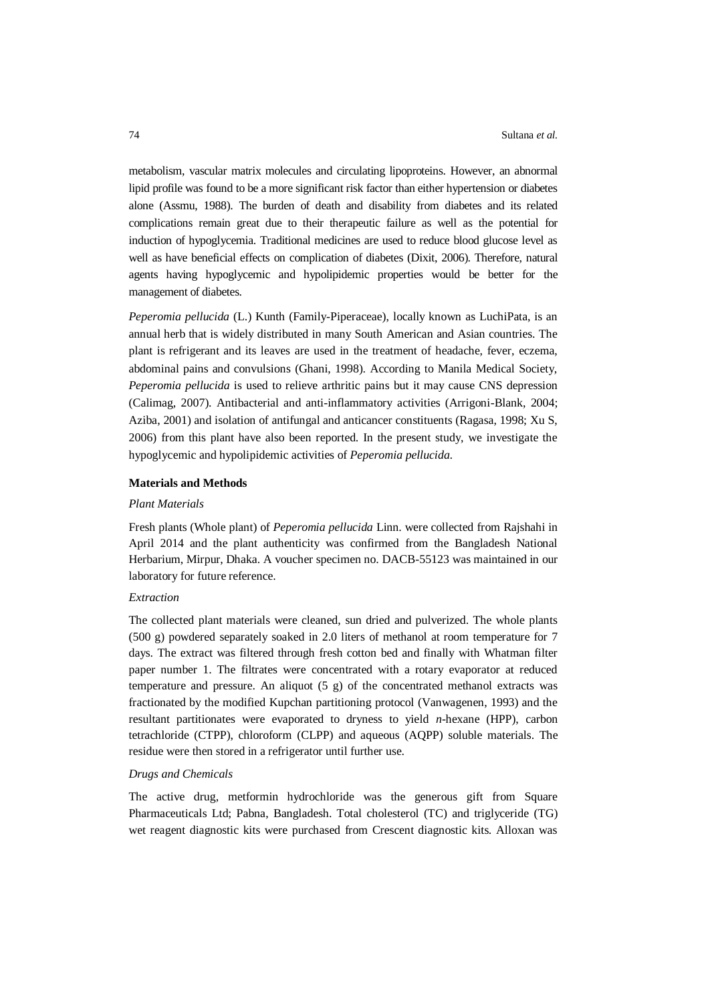metabolism, vascular matrix molecules and circulating lipoproteins. However, an abnormal lipid profile was found to be a more significant risk factor than either hypertension or diabetes alone (Assmu, 1988). The burden of death and disability from diabetes and its related complications remain great due to their therapeutic failure as well as the potential for induction of hypoglycemia. Traditional medicines are used to reduce blood glucose level as well as have beneficial effects on complication of diabetes (Dixit, 2006). Therefore, natural agents having hypoglycemic and hypolipidemic properties would be better for the management of diabetes.

*Peperomia pellucida* (L.) Kunth (Family-Piperaceae), locally known as LuchiPata, is an annual herb that is widely distributed in many South American and Asian countries. The plant is refrigerant and its leaves are used in the treatment of headache, fever, eczema, abdominal pains and convulsions (Ghani, 1998). According to Manila Medical Society, *Peperomia pellucida* is used to relieve arthritic pains but it may cause CNS depression (Calimag, 2007). Antibacterial and anti-inflammatory activities (Arrigoni-Blank, 2004; Aziba, 2001) and isolation of antifungal and anticancer constituents (Ragasa, 1998; Xu S, 2006) from this plant have also been reported. In the present study, we investigate the hypoglycemic and hypolipidemic activities of *Peperomia pellucida.*

#### **Materials and Methods**

#### *Plant Materials*

Fresh plants (Whole plant) of *Peperomia pellucida* Linn. were collected from Rajshahi in April 2014 and the plant authenticity was confirmed from the Bangladesh National Herbarium, Mirpur, Dhaka. A voucher specimen no. DACB-55123 was maintained in our laboratory for future reference.

### *Extraction*

The collected plant materials were cleaned, sun dried and pulverized. The whole plants (500 g) powdered separately soaked in 2.0 liters of methanol at room temperature for 7 days. The extract was filtered through fresh cotton bed and finally with Whatman filter paper number 1. The filtrates were concentrated with a rotary evaporator at reduced temperature and pressure. An aliquot (5 g) of the concentrated methanol extracts was fractionated by the modified Kupchan partitioning protocol (Vanwagenen, 1993) and the resultant partitionates were evaporated to dryness to yield *n*-hexane (HPP), carbon tetrachloride (CTPP), chloroform (CLPP) and aqueous (AQPP) soluble materials. The residue were then stored in a refrigerator until further use.

### *Drugs and Chemicals*

The active drug, metformin hydrochloride was the generous gift from Square Pharmaceuticals Ltd; Pabna, Bangladesh. Total cholesterol (TC) and triglyceride (TG) wet reagent diagnostic kits were purchased from Crescent diagnostic kits. Alloxan was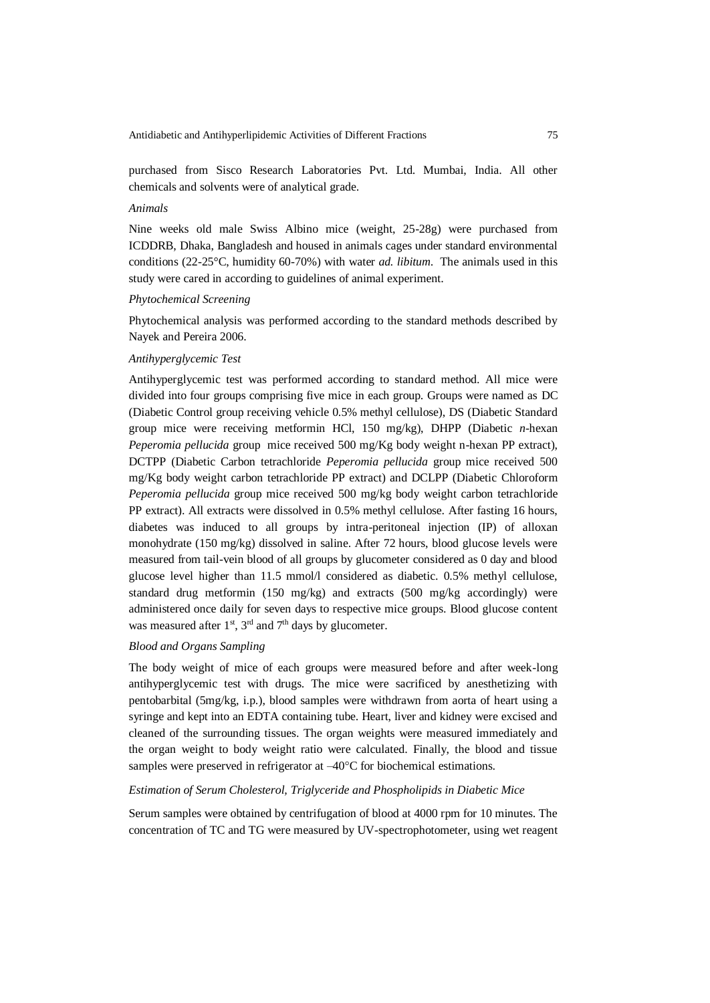purchased from Sisco Research Laboratories Pvt. Ltd. Mumbai, India. All other chemicals and solvents were of analytical grade.

# *Animals*

Nine weeks old male Swiss Albino mice (weight, 25-28g) were purchased from ICDDRB, Dhaka, Bangladesh and housed in animals cages under standard environmental conditions (22-25°C, humidity 60-70%) with water *ad. libitum*. The animals used in this study were cared in according to guidelines of animal experiment.

#### *Phytochemical Screening*

Phytochemical analysis was performed according to the standard methods described by Nayek and Pereira 2006.

# *Antihyperglycemic Test*

Antihyperglycemic test was performed according to standard method. All mice were divided into four groups comprising five mice in each group. Groups were named as DC (Diabetic Control group receiving vehicle 0.5% methyl cellulose), DS (Diabetic Standard group mice were receiving metformin HCl, 150 mg/kg), DHPP (Diabetic *n*-hexan *Peperomia pellucida* group mice received 500 mg/Kg body weight n-hexan PP extract), DCTPP (Diabetic Carbon tetrachloride *Peperomia pellucida* group mice received 500 mg/Kg body weight carbon tetrachloride PP extract) and DCLPP (Diabetic Chloroform *Peperomia pellucida* group mice received 500 mg/kg body weight carbon tetrachloride PP extract). All extracts were dissolved in 0.5% methyl cellulose. After fasting 16 hours, diabetes was induced to all groups by intra-peritoneal injection (IP) of alloxan monohydrate (150 mg/kg) dissolved in saline. After 72 hours, blood glucose levels were measured from tail-vein blood of all groups by glucometer considered as 0 day and blood glucose level higher than 11.5 mmol/l considered as diabetic. 0.5% methyl cellulose, standard drug metformin (150 mg/kg) and extracts (500 mg/kg accordingly) were administered once daily for seven days to respective mice groups. Blood glucose content was measured after  $1<sup>st</sup>$ ,  $3<sup>rd</sup>$  and  $7<sup>th</sup>$  days by glucometer.

# *Blood and Organs Sampling*

The body weight of mice of each groups were measured before and after week-long antihyperglycemic test with drugs. The mice were sacrificed by anesthetizing with pentobarbital (5mg/kg, i.p.), blood samples were withdrawn from aorta of heart using a syringe and kept into an EDTA containing tube. Heart, liver and kidney were excised and cleaned of the surrounding tissues. The organ weights were measured immediately and the organ weight to body weight ratio were calculated. Finally, the blood and tissue samples were preserved in refrigerator at  $-40^{\circ}$ C for biochemical estimations.

# *Estimation of Serum Cholesterol, Triglyceride and Phospholipids in Diabetic Mice*

Serum samples were obtained by centrifugation of blood at 4000 rpm for 10 minutes. The concentration of TC and TG were measured by UV-spectrophotometer, using wet reagent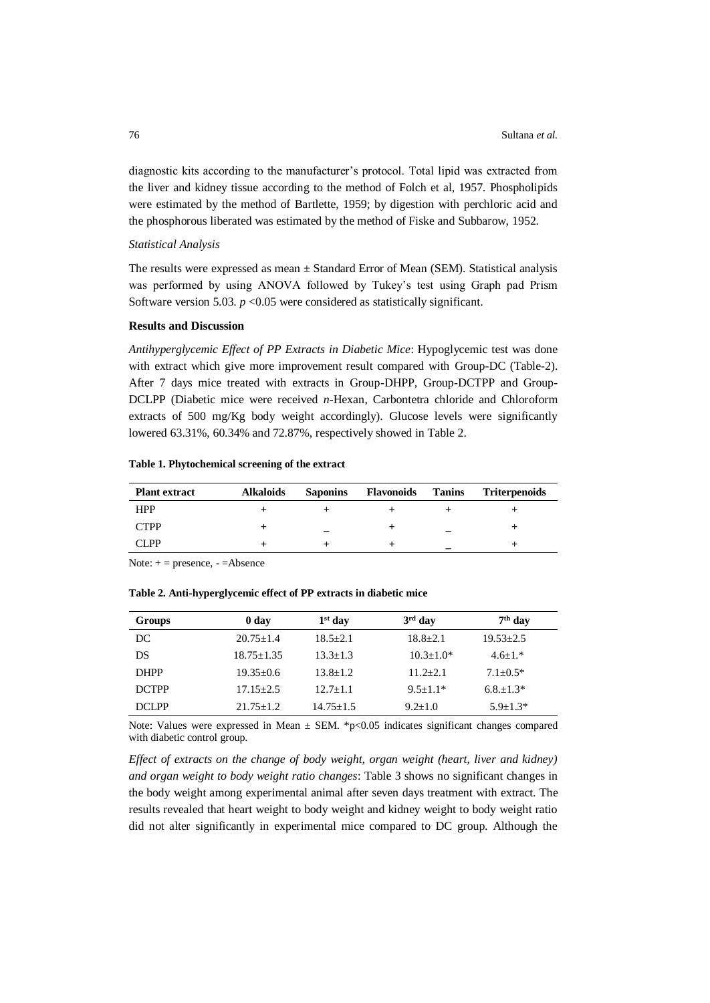diagnostic kits according to the manufacturer's protocol. Total lipid was extracted from the liver and kidney tissue according to the method of Folch et al, 1957. Phospholipids were estimated by the method of Bartlette, 1959; by digestion with perchloric acid and the phosphorous liberated was estimated by the method of Fiske and Subbarow, 1952.

### *Statistical Analysis*

The results were expressed as mean  $\pm$  Standard Error of Mean (SEM). Statistical analysis was performed by using ANOVA followed by Tukey's test using Graph pad Prism Software version 5.03.  $p < 0.05$  were considered as statistically significant.

### **Results and Discussion**

*Antihyperglycemic Effect of PP Extracts in Diabetic Mice*: Hypoglycemic test was done with extract which give more improvement result compared with Group-DC (Table-2). After 7 days mice treated with extracts in Group-DHPP, Group-DCTPP and Group-DCLPP (Diabetic mice were received *n*-Hexan, Carbontetra chloride and Chloroform extracts of 500 mg/Kg body weight accordingly). Glucose levels were significantly lowered 63.31%, 60.34% and 72.87%, respectively showed in Table 2.

### **Table 1. Phytochemical screening of the extract**

| <b>Plant extract</b> | <b>Alkaloids</b> | <b>Saponins</b> | Flavonoids | Tanins | <b>Triterpenoids</b> |
|----------------------|------------------|-----------------|------------|--------|----------------------|
| <b>HPP</b>           |                  |                 |            |        |                      |
| <b>CTPP</b>          |                  |                 |            |        |                      |
| CI PP                |                  |                 |            |        |                      |

Note:  $+$  = presence,  $-$  = Absence

## **Table 2. Anti-hyperglycemic effect of PP extracts in diabetic mice**

| Groups       | 0 <sub>day</sub> | $1st$ day     | $3rd$ day     | $7th$ day     |
|--------------|------------------|---------------|---------------|---------------|
| DC           | $20.75 + 1.4$    | $18.5 + 2.1$  | $18.8 + 2.1$  | $19.53 + 2.5$ |
| DS           | $18.75 + 1.35$   | $13.3 + 1.3$  | $10.3 + 1.0*$ | $4.6 + 1.*$   |
| <b>DHPP</b>  | $19.35 + 0.6$    | $13.8 + 1.2$  | $11.2 + 2.1$  | $7.1 + 0.5*$  |
| <b>DCTPP</b> | $17.15 + 2.5$    | $12.7 + 1.1$  | $9.5 + 1.1*$  | $6.8 + 1.3*$  |
| <b>DCLPP</b> | $21.75 + 1.2$    | $14.75 + 1.5$ | $9.2 + 1.0$   | $5.9 + 1.3*$  |

Note: Values were expressed in Mean  $\pm$  SEM. \*p<0.05 indicates significant changes compared with diabetic control group.

*Effect of extracts on the change of body weight, organ weight (heart, liver and kidney) and organ weight to body weight ratio changes*: Table 3 shows no significant changes in the body weight among experimental animal after seven days treatment with extract. The results revealed that heart weight to body weight and kidney weight to body weight ratio did not alter significantly in experimental mice compared to DC group. Although the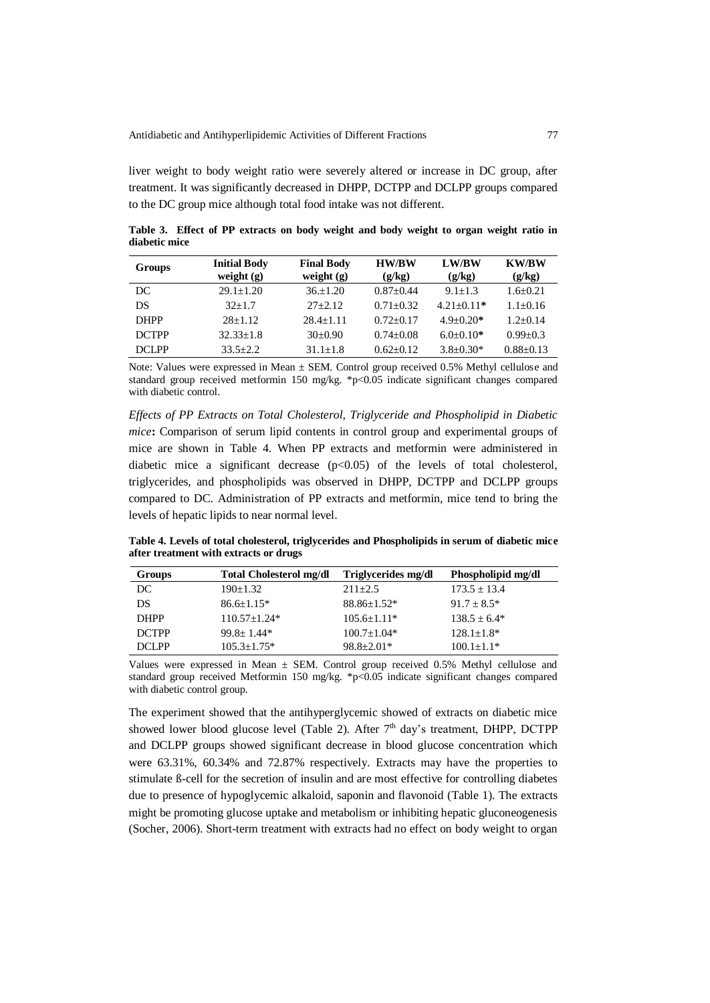liver weight to body weight ratio were severely altered or increase in DC group, after treatment. It was significantly decreased in DHPP, DCTPP and DCLPP groups compared to the DC group mice although total food intake was not different.

**Table 3. Effect of PP extracts on body weight and body weight to organ weight ratio in diabetic mice**

| Groups       | <b>Initial Body</b><br>weight $(g)$ | <b>Final Body</b><br>weight $(g)$ | <b>HW/BW</b><br>(g/kg) | <b>LW/BW</b><br>(g/kg) | <b>KW/BW</b><br>(g/kg) |
|--------------|-------------------------------------|-----------------------------------|------------------------|------------------------|------------------------|
| DC           | $29.1 + 1.20$                       | $36+1.20$                         | $0.87 + 0.44$          | $9.1 + 1.3$            | $1.6 + 0.21$           |
| DS           | $32+1.7$                            | $27+2.12$                         | $0.71 + 0.32$          | $4.21 + 0.11*$         | $1.1+0.16$             |
| <b>DHPP</b>  | $28+1.12$                           | $28.4 + 1.11$                     | $0.72 + 0.17$          | $4.9 + 0.20*$          | $1.2+0.14$             |
| <b>DCTPP</b> | $32.33 + 1.8$                       | $30+0.90$                         | $0.74 + 0.08$          | $6.0+0.10*$            | $0.99 + 0.3$           |
| DCI PP       | $33.5 + 2.2$                        | $31.1 + 1.8$                      | $0.62+0.12$            | $3.8 + 0.30*$          | $0.88 \pm 0.13$        |

Note: Values were expressed in Mean  $\pm$  SEM. Control group received 0.5% Methyl cellulose and standard group received metformin 150 mg/kg. \*p<0.05 indicate significant changes compared with diabetic control.

*Effects of PP Extracts on Total Cholesterol, Triglyceride and Phospholipid in Diabetic mice***:** Comparison of serum lipid contents in control group and experimental groups of mice are shown in Table 4. When PP extracts and metformin were administered in diabetic mice a significant decrease  $(p<0.05)$  of the levels of total cholesterol, triglycerides, and phospholipids was observed in DHPP, DCTPP and DCLPP groups compared to DC. Administration of PP extracts and metformin, mice tend to bring the levels of hepatic lipids to near normal level.

**Table 4. Levels of total cholesterol, triglycerides and Phospholipids in serum of diabetic mice after treatment with extracts or drugs**

| Groups       | <b>Total Cholesterol mg/dl</b> | Triglycerides mg/dl | Phospholipid mg/dl |
|--------------|--------------------------------|---------------------|--------------------|
| DC           | $190+1.32$                     | $211+2.5$           | $173.5 \pm 13.4$   |
| DS           | $86.6 + 1.15*$                 | $88.86 \pm 1.52$ *  | $91.7 \pm 8.5^*$   |
| <b>DHPP</b>  | $110.57 \pm 1.24*$             | $105.6 \pm 1.11*$   | $138.5 + 6.4*$     |
| <b>DCTPP</b> | $99.8 + 1.44*$                 | $100.7 \pm 1.04*$   | $128.1 + 1.8*$     |
| <b>DCLPP</b> | $105.3 + 1.75*$                | $98.8 + 2.01*$      | $100.1 + 1.1*$     |

Values were expressed in Mean ± SEM. Control group received 0.5% Methyl cellulose and standard group received Metformin 150 mg/kg. \*p<0.05 indicate significant changes compared with diabetic control group.

The experiment showed that the antihyperglycemic showed of extracts on diabetic mice showed lower blood glucose level (Table 2). After  $7<sup>th</sup>$  day's treatment, DHPP, DCTPP and DCLPP groups showed significant decrease in blood glucose concentration which were 63.31%, 60.34% and 72.87% respectively. Extracts may have the properties to stimulate ß-cell for the secretion of insulin and are most effective for controlling diabetes due to presence of hypoglycemic alkaloid, saponin and flavonoid (Table 1). The extracts might be promoting glucose uptake and metabolism or inhibiting hepatic gluconeogenesis (Socher, 2006). Short-term treatment with extracts had no effect on body weight to organ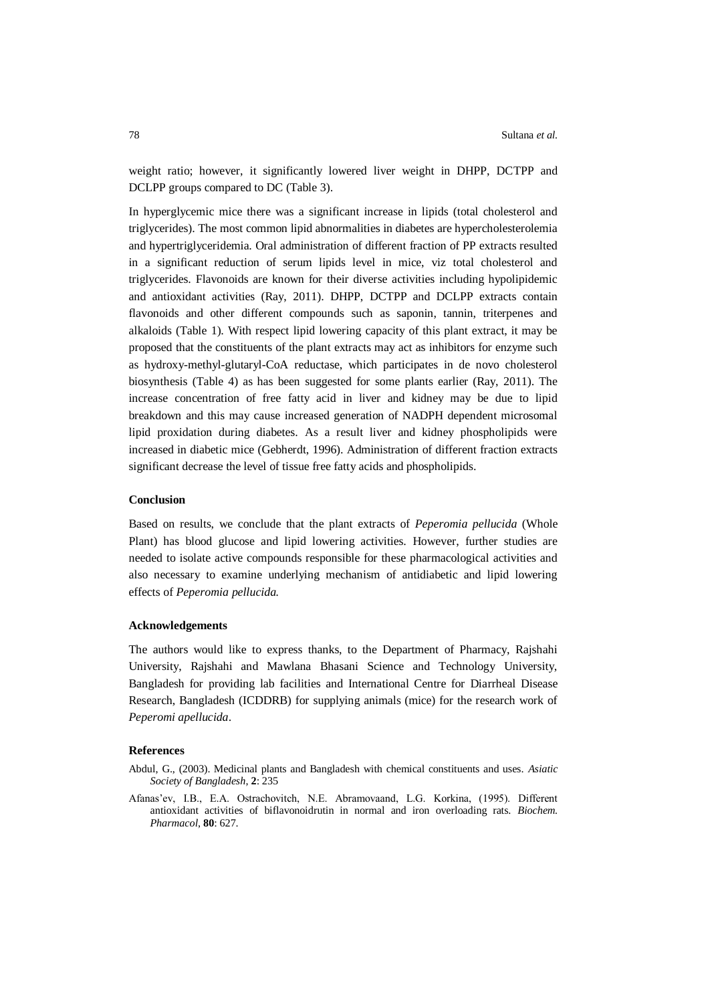weight ratio; however, it significantly lowered liver weight in DHPP, DCTPP and DCLPP groups compared to DC (Table 3).

In hyperglycemic mice there was a significant increase in lipids (total cholesterol and triglycerides). The most common lipid abnormalities in diabetes are hypercholesterolemia and hypertriglyceridemia. Oral administration of different fraction of PP extracts resulted in a significant reduction of serum lipids level in mice, viz total cholesterol and triglycerides. Flavonoids are known for their diverse activities including hypolipidemic and antioxidant activities (Ray, 2011). DHPP, DCTPP and DCLPP extracts contain flavonoids and other different compounds such as saponin, tannin, triterpenes and alkaloids (Table 1). With respect lipid lowering capacity of this plant extract, it may be proposed that the constituents of the plant extracts may act as inhibitors for enzyme such as hydroxy-methyl-glutaryl-CoA reductase, which participates in de novo cholesterol biosynthesis (Table 4) as has been suggested for some plants earlier (Ray, 2011). The increase concentration of free fatty acid in liver and kidney may be due to lipid breakdown and this may cause increased generation of NADPH dependent microsomal lipid proxidation during diabetes. As a result liver and kidney phospholipids were increased in diabetic mice (Gebherdt, 1996). Administration of different fraction extracts significant decrease the level of tissue free fatty acids and phospholipids.

### **Conclusion**

Based on results, we conclude that the plant extracts of *Peperomia pellucida* (Whole Plant) has blood glucose and lipid lowering activities. However, further studies are needed to isolate active compounds responsible for these pharmacological activities and also necessary to examine underlying mechanism of antidiabetic and lipid lowering effects of *Peperomia pellucida.*

#### **Acknowledgements**

The authors would like to express thanks, to the Department of Pharmacy, Rajshahi University, Rajshahi and Mawlana Bhasani Science and Technology University, Bangladesh for providing lab facilities and International Centre for Diarrheal Disease Research, Bangladesh (ICDDRB) for supplying animals (mice) for the research work of *Peperomi apellucida*.

### **References**

- Abdul, G., (2003). Medicinal plants and Bangladesh with chemical constituents and uses. *Asiatic Society of Bangladesh*, **2**: 235
- Afanas'ev, I.B., E.A. Ostrachovitch, N.E. Abramovaand, L.G. Korkina, (1995). Different antioxidant activities of biflavonoidrutin in normal and iron overloading rats. *Biochem. Pharmacol*, **80**: 627.